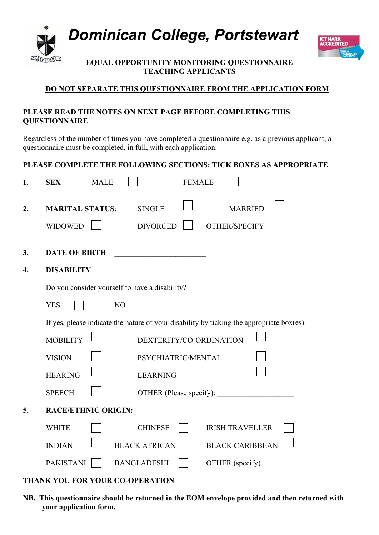

 *Dominican College, Portstewart*



**EQUAL OPPORTUNITY MONITORING QUESTIONNAIRE TEACHING APPLICANTS**

# **DO NOT SEPARATE THIS QUESTIONNAIRE FROM THE APPLICATION FORM**

#### **PLEASE READ THE NOTES ON NEXT PAGE BEFORE COMPLETING THIS QUESTIONNAIRE**

Regardless of the number of times you have completed a questionnaire e.g. as a previous applicant, a questionnaire must be completed, in full, with each application.

# **PLEASE COMPLETE THE FOLLOWING SECTIONS: TICK BOXES AS APPROPRIATE**

| 1. | <b>MALE</b><br><b>SEX</b>                                                                 | <b>FEMALE</b>                                                       |
|----|-------------------------------------------------------------------------------------------|---------------------------------------------------------------------|
| 2. | <b>MARITAL STATUS:</b><br><b>WIDOWED</b>                                                  | <b>MARRIED</b><br><b>SINGLE</b><br><b>DIVORCED</b><br>OTHER/SPECIFY |
| 3. | <b>DATE OF BIRTH</b>                                                                      |                                                                     |
| 4. | <b>DISABILITY</b>                                                                         |                                                                     |
|    | Do you consider yourself to have a disability?                                            |                                                                     |
|    | <b>YES</b><br>NO                                                                          |                                                                     |
|    | If yes, please indicate the nature of your disability by ticking the appropriate box(es). |                                                                     |
|    | <b>MOBILITY</b>                                                                           | DEXTERITY/CO-ORDINATION                                             |
|    | <b>VISION</b>                                                                             | PSYCHIATRIC/MENTAL                                                  |
|    | <b>HEARING</b>                                                                            | <b>LEARNING</b>                                                     |
|    | <b>SPEECH</b>                                                                             |                                                                     |
| 5. | <b>RACE/ETHNIC ORIGIN:</b>                                                                |                                                                     |
|    | <b>WHITE</b>                                                                              | <b>CHINESE</b><br><b>IRISH TRAVELLER</b>                            |
|    | <b>INDIAN</b>                                                                             | <b>BLACK AFRICAN</b><br><b>BLACK CARIBBEAN</b>                      |
|    | <b>PAKISTANI</b>                                                                          | <b>BANGLADESHI</b><br>OTHER (specify)                               |

### **THANK YOU FOR YOUR CO-OPERATION**

**NB. This questionnaire should be returned in the EOM envelope provided and then returned with your application form.**